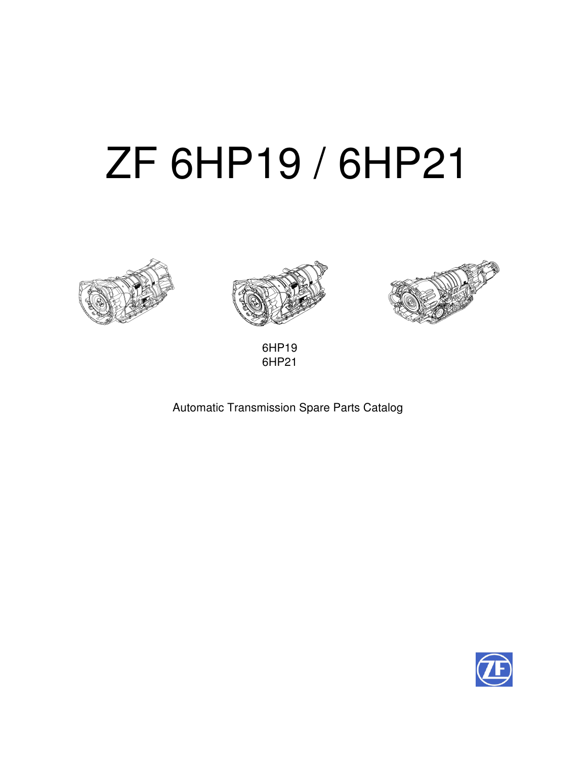# ZF 6HP19 / 6HP21







6HP19 6HP21

# Automatic Transmission Spare Parts Catalog

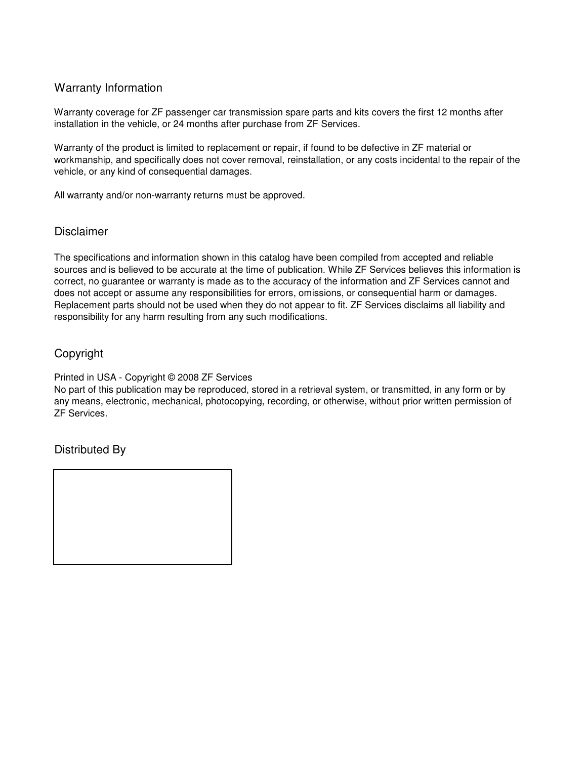# Warranty Information

Warranty coverage for ZF passenger car transmission spare parts and kits covers the first 12 months after installation in the vehicle, or 24 months after purchase from ZF Services.

Warranty of the product is limited to replacement or repair, if found to be defective in ZF material or workmanship, and specifically does not cover removal, reinstallation, or any costs incidental to the repair of the vehicle, or any kind of consequential damages.

All warranty and/or non-warranty returns must be approved.

# Disclaimer

The specifications and information shown in this catalog have been compiled from accepted and reliable sources and is believed to be accurate at the time of publication. While ZF Services believes this information is correct, no guarantee or warranty is made as to the accuracy of the information and ZF Services cannot and does not accept or assume any responsibilities for errors, omissions, or consequential harm or damages. Replacement parts should not be used when they do not appear to fit. ZF Services disclaims all liability and responsibility for any harm resulting from any such modifications.

# Copyright

Printed in USA - Copyright © 2008 ZF Services

No part of this publication may be reproduced, stored in a retrieval system, or transmitted, in any form or by any means, electronic, mechanical, photocopying, recording, or otherwise, without prior written permission of ZF Services.

# Distributed By

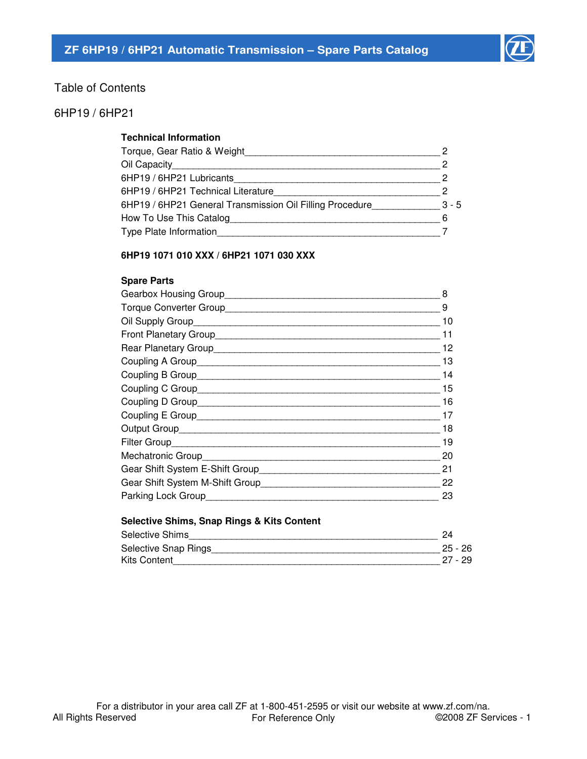

# Table of Contents

# 6HP19 / 6HP21

# **Technical Information**

| Torque, Gear Ratio & Weight_                             |         |
|----------------------------------------------------------|---------|
| Oil Capacity                                             |         |
| 6HP19 / 6HP21 Lubricants                                 |         |
| 6HP19 / 6HP21 Technical Literature                       |         |
| 6HP19 / 6HP21 General Transmission Oil Filling Procedure | $3 - 5$ |
| How To Use This Catalog                                  |         |
| Type Plate Information                                   |         |
|                                                          |         |

# **6HP19 1071 010 XXX / 6HP21 1071 030 XXX**

#### **Spare Parts**

| 8  |
|----|
| 9  |
| 10 |
| 11 |
| 12 |
| 13 |
| 14 |
| 15 |
| 16 |
| 17 |
| 18 |
| 19 |
| 20 |
| 21 |
| 22 |
| 23 |
|    |

#### **Selective Shims, Snap Rings & Kits Content**

| <b>Selective</b><br>Shim.<br>_________ | <u>.</u>  |
|----------------------------------------|-----------|
| Selective<br>Snap<br>⊣ıngs             | 25<br>26  |
| Kits                                   | 29<br>، ے |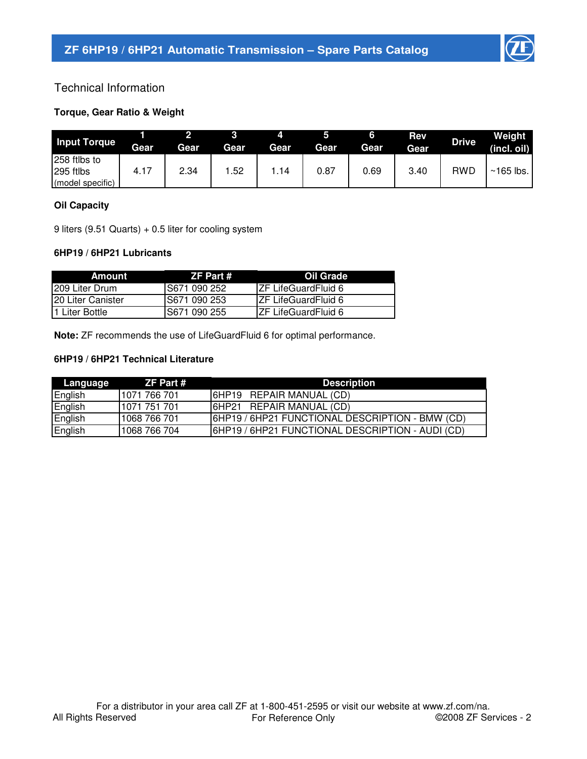

# Technical Information

# **Torque, Gear Ratio & Weight**

| <b>Input Torque</b>                           | Gear | Gear | Gear | Gear | Gear | Gear | <b>Rev</b><br>Gear | <b>Drive</b> | Weight<br>(incl. oil) |
|-----------------------------------------------|------|------|------|------|------|------|--------------------|--------------|-----------------------|
| 258 ftlbs to<br>295 ftlbs<br>(model specific) | 4.17 | 2.34 | .52  | .14  | 0.87 | 0.69 | 3.40               | <b>RWD</b>   | $~165$ lbs.           |

### **Oil Capacity**

9 liters (9.51 Quarts) + 0.5 liter for cooling system

### **6HP19 / 6HP21 Lubricants**

| Amount             | ZF Part #     | <b>Oil Grade</b>            |
|--------------------|---------------|-----------------------------|
| 1209 Liter Drum    | IS671 090 252 | <b>IZF LifeGuardFluid 6</b> |
| I20 Liter Canister | S671 090 253  | <b>IZF LifeGuardFluid 6</b> |
| l1 Liter Bottle    | S671 090 255  | <b>IZF LifeGuardFluid 6</b> |

**Note:** ZF recommends the use of LifeGuardFluid 6 for optimal performance.

# **6HP19 / 6HP21 Technical Literature**

| Language | ZF Part #    | <b>Description</b>                               |
|----------|--------------|--------------------------------------------------|
| English  | 1071 766 701 | <b>6HP19 REPAIR MANUAL (CD)</b>                  |
| English  | 1071 751 701 | 6HP21 REPAIR MANUAL (CD)                         |
| English  | 1068 766 701 | 6HP19 / 6HP21 FUNCTIONAL DESCRIPTION - BMW (CD)  |
| English  | 1068 766 704 | 6HP19 / 6HP21 FUNCTIONAL DESCRIPTION - AUDI (CD) |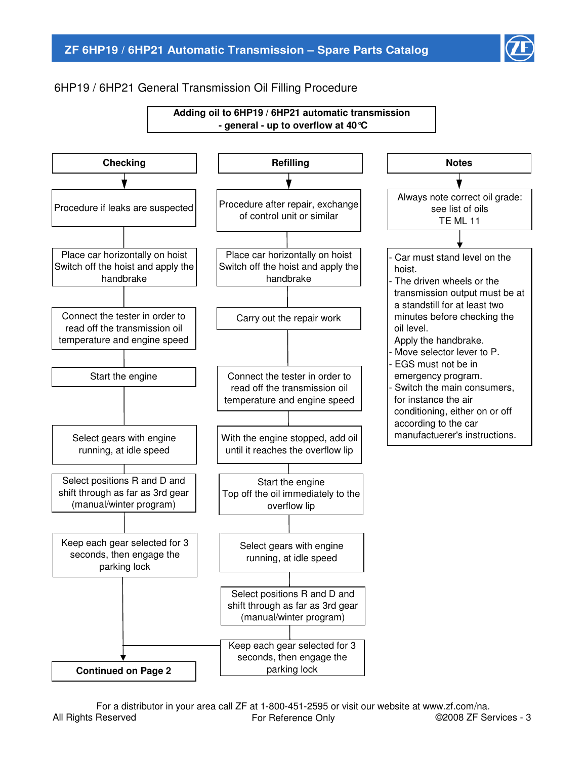

# 6HP19 / 6HP21 General Transmission Oil Filling Procedure



All Rights Reserved For a distributor in your area call ZF at 1-800-451-2595 or visit our website at www.zf.com/na. For Reference Only ©2008 ZF Services - 3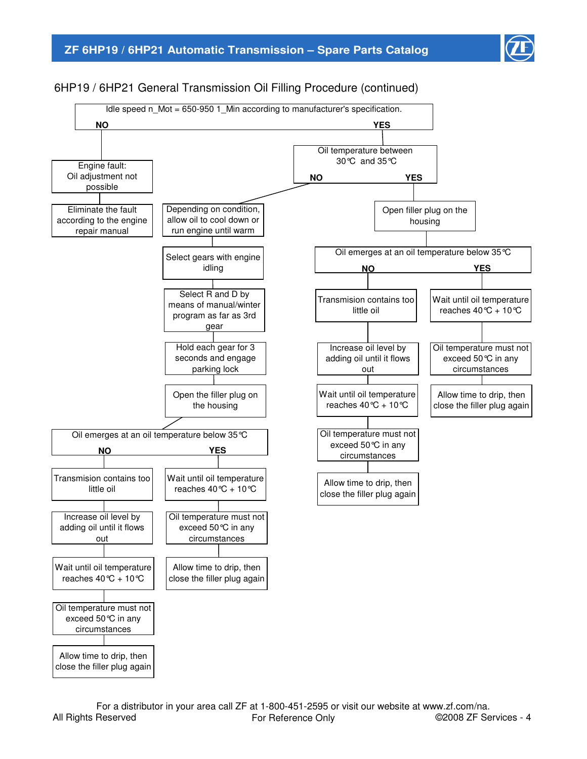

# 6HP19 / 6HP21 General Transmission Oil Filling Procedure (continued)



All Rights Reserved For a distributor in your area call ZF at 1-800-451-2595 or visit our website at www.zf.com/na. For Reference Only **COLOGE CONCOCOLOGE CONCOCO EXAMPLE** OPTOMOBILE FOR A 4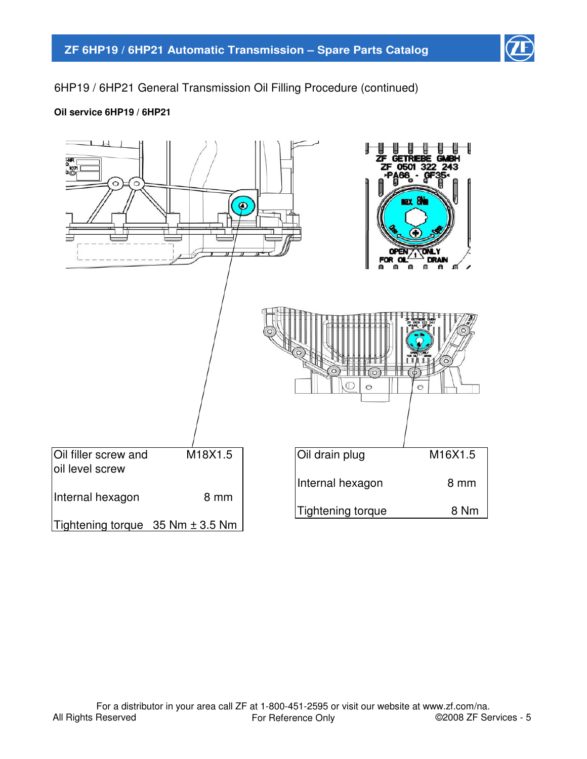

6HP19 / 6HP21 General Transmission Oil Filling Procedure (continued)

# **Oil service 6HP19 / 6HP21**

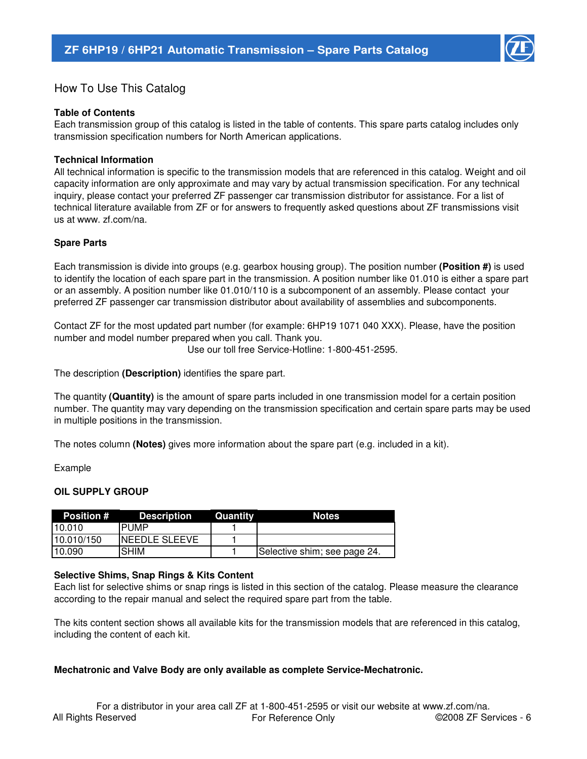

# How To Use This Catalog

#### **Table of Contents**

Each transmission group of this catalog is listed in the table of contents. This spare parts catalog includes only transmission specification numbers for North American applications.

#### **Technical Information**

All technical information is specific to the transmission models that are referenced in this catalog. Weight and oil capacity information are only approximate and may vary by actual transmission specification. For any technical inquiry, please contact your preferred ZF passenger car transmission distributor for assistance. For a list of technical literature available from ZF or for answers to frequently asked questions about ZF transmissions visit us at www. zf.com/na.

#### **Spare Parts**

Each transmission is divide into groups (e.g. gearbox housing group). The position number **(Position #)** is used to identify the location of each spare part in the transmission. A position number like 01.010 is either a spare part or an assembly. A position number like 01.010/110 is a subcomponent of an assembly. Please contact your preferred ZF passenger car transmission distributor about availability of assemblies and subcomponents.

Use our toll free Service-Hotline: 1-800-451-2595. Contact ZF for the most updated part number (for example: 6HP19 1071 040 XXX). Please, have the position number and model number prepared when you call. Thank you.

The description **(Description)** identifies the spare part.

The quantity **(Quantity)** is the amount of spare parts included in one transmission model for a certain position number. The quantity may vary depending on the transmission specification and certain spare parts may be used in multiple positions in the transmission.

The notes column **(Notes)** gives more information about the spare part (e.g. included in a kit).

Example

#### **OIL SUPPLY GROUP**

| <b>Position</b> # | <b>Description</b>    | Quantity | <b>Notes</b>                 |
|-------------------|-----------------------|----------|------------------------------|
| 10.010            | <b>PUMP</b>           |          |                              |
| 10.010/150        | <b>INEEDLE SLEEVE</b> |          |                              |
| 10.090            | <b>SHIM</b>           |          | Selective shim; see page 24. |

#### **Selective Shims, Snap Rings & Kits Content**

Each list for selective shims or snap rings is listed in this section of the catalog. Please measure the clearance according to the repair manual and select the required spare part from the table.

The kits content section shows all available kits for the transmission models that are referenced in this catalog, including the content of each kit.

#### **Mechatronic and Valve Body are only available as complete Service-Mechatronic.**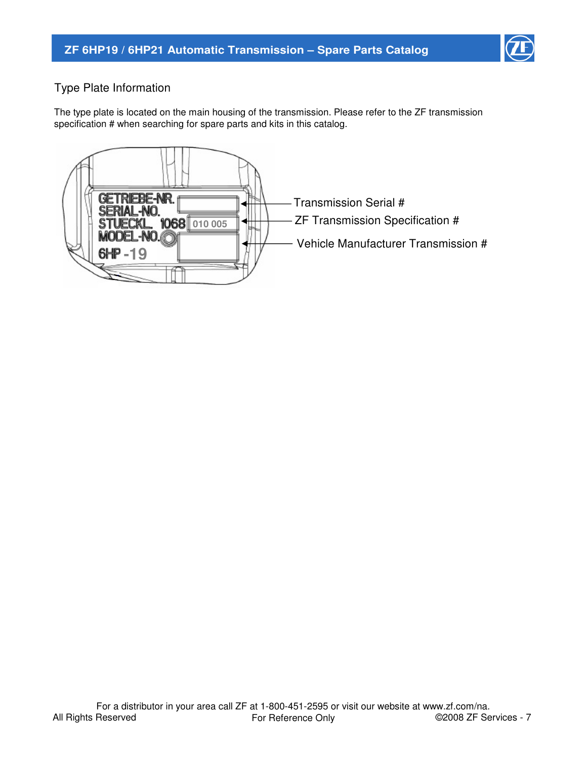

# Type Plate Information

The type plate is located on the main housing of the transmission. Please refer to the ZF transmission specification # when searching for spare parts and kits in this catalog.

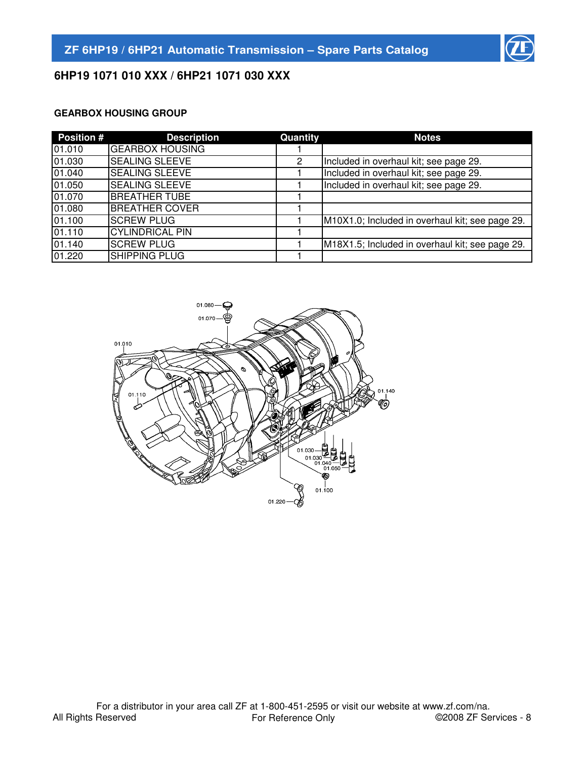

# **6HP19 1071 010 XXX / 6HP21 1071 030 XXX**

# **GEARBOX HOUSING GROUP**

| <b>Position #</b> | <b>Description</b>     | Quantity | <b>Notes</b>                                    |
|-------------------|------------------------|----------|-------------------------------------------------|
| 01.010            | <b>GEARBOX HOUSING</b> |          |                                                 |
| 01.030            | <b>SEALING SLEEVE</b>  | 2        | Included in overhaul kit; see page 29.          |
| 01.040            | <b>SEALING SLEEVE</b>  |          | Included in overhaul kit; see page 29.          |
| 01.050            | <b>SEALING SLEEVE</b>  |          | Included in overhaul kit; see page 29.          |
| 01.070            | <b>BREATHER TUBE</b>   |          |                                                 |
| 01.080            | <b>BREATHER COVER</b>  |          |                                                 |
| 01.100            | <b>SCREW PLUG</b>      |          | M10X1.0; Included in overhaul kit; see page 29. |
| 01.110            | <b>CYLINDRICAL PIN</b> |          |                                                 |
| 01.140            | <b>SCREW PLUG</b>      |          | M18X1.5; Included in overhaul kit; see page 29. |
| 01.220            | <b>SHIPPING PLUG</b>   |          |                                                 |

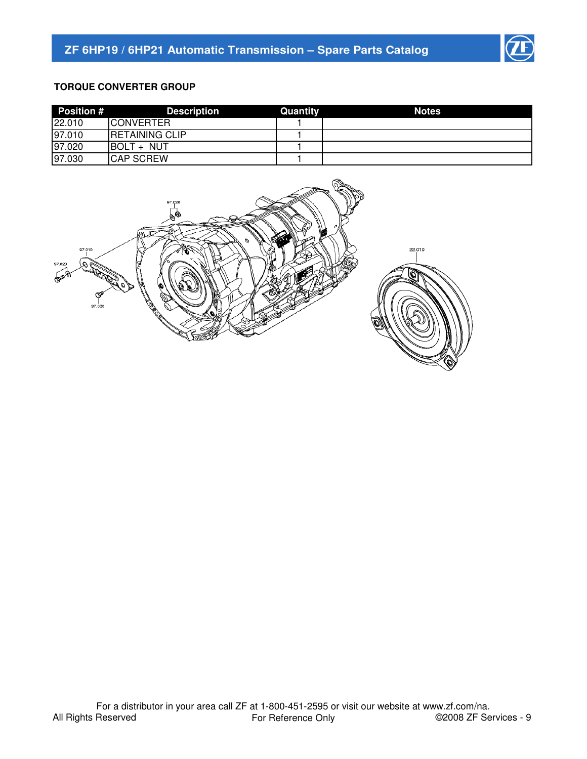

# **TORQUE CONVERTER GROUP**

| <b>Position #</b> | <b>Description</b>     | Quantity | <b>Notes</b> |
|-------------------|------------------------|----------|--------------|
| 22.010            | <b>ICONVERTER</b>      |          |              |
| 97.010            | <b>IRETAINING CLIP</b> |          |              |
| 97.020            | <b>IBOLT + NUT</b>     |          |              |
| 97.030            | <b>CAP SCREW</b>       |          |              |

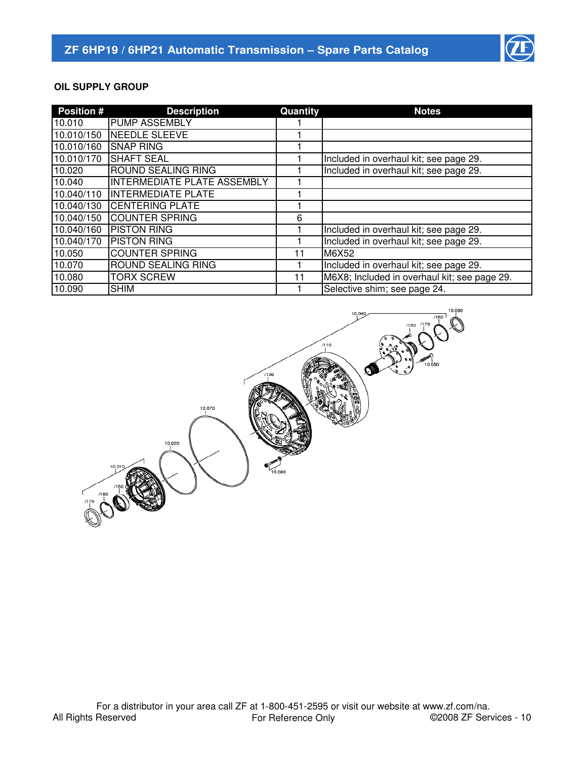

# **OIL SUPPLY GROUP**

| <b>Position #</b> | <b>Description</b>          | Quantity | <b>Notes</b>                                 |
|-------------------|-----------------------------|----------|----------------------------------------------|
| 10.010            | <b>PUMP ASSEMBLY</b>        |          |                                              |
| 10.010/150        | NEEDLE SLEEVE               |          |                                              |
| 10.010/160        | <b>SNAP RING</b>            |          |                                              |
| 10.010/170        | <b>SHAFT SEAL</b>           |          | Included in overhaul kit; see page 29.       |
| 10.020            | <b>ROUND SEALING RING</b>   |          | Included in overhaul kit; see page 29.       |
| 10.040            | INTERMEDIATE PLATE ASSEMBLY |          |                                              |
| 10.040/110        | <b>INTERMEDIATE PLATE</b>   |          |                                              |
| 10.040/130        | <b>CENTERING PLATE</b>      |          |                                              |
| 10.040/150        | <b>COUNTER SPRING</b>       | 6        |                                              |
| 10.040/160        | <b>PISTON RING</b>          |          | Included in overhaul kit; see page 29.       |
| 10.040/170        | <b>PISTON RING</b>          |          | Included in overhaul kit; see page 29.       |
| 10.050            | <b>COUNTER SPRING</b>       | 11       | M6X52                                        |
| 10.070            | <b>ROUND SEALING RING</b>   |          | Included in overhaul kit; see page 29.       |
| 10.080            | <b>TORX SCREW</b>           | 11       | M6X8; Included in overhaul kit; see page 29. |
| 10.090            | <b>SHIM</b>                 |          | Selective shim; see page 24.                 |

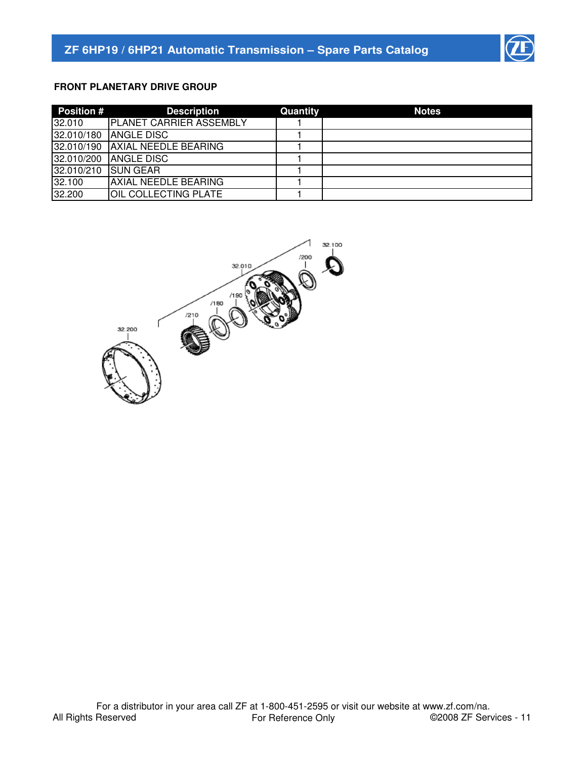

# **FRONT PLANETARY DRIVE GROUP**

| <b>Position #</b> | <b>Description</b>             | Quantity | <b>Notes</b> |
|-------------------|--------------------------------|----------|--------------|
| 32.010            | <b>PLANET CARRIER ASSEMBLY</b> |          |              |
| 32.010/180        | <b>ANGLE DISC</b>              |          |              |
| 32.010/190        | <b>AXIAL NEEDLE BEARING</b>    |          |              |
| 32.010/200        | <b>IANGLE DISC</b>             |          |              |
| 32.010/210        | <b>ISUN GEAR</b>               |          |              |
| 32.100            | <b>JAXIAL NEEDLE BEARING</b>   |          |              |
| 32.200            | <b>OIL COLLECTING PLATE</b>    |          |              |

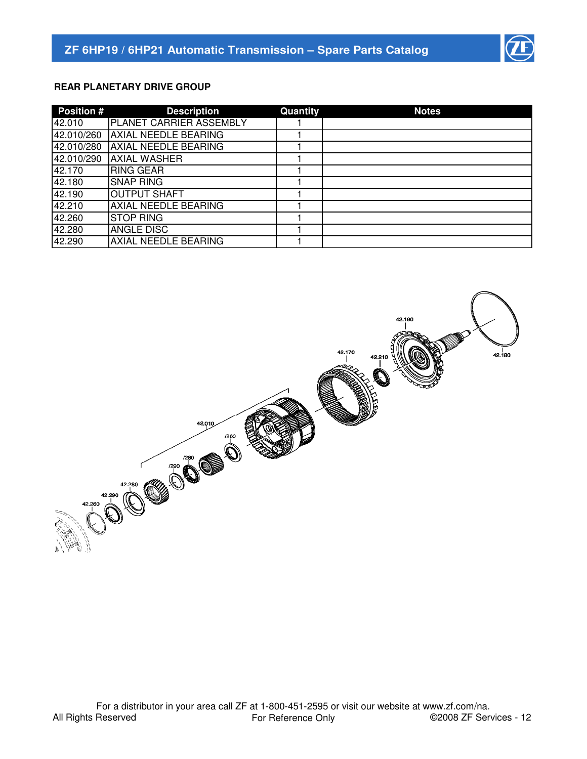

# **REAR PLANETARY DRIVE GROUP**

| <b>Position #</b> | <b>Description</b>             | Quantity | <b>Notes</b> |
|-------------------|--------------------------------|----------|--------------|
| 42.010            | <b>PLANET CARRIER ASSEMBLY</b> |          |              |
| 42.010/260        | <b>AXIAL NEEDLE BEARING</b>    |          |              |
| 42.010/280        | AXIAL NEEDLE BEARING           |          |              |
| 42.010/290        | <b>AXIAL WASHER</b>            |          |              |
| 42.170            | <b>RING GEAR</b>               |          |              |
| 42.180            | <b>SNAP RING</b>               |          |              |
| 42.190            | <b>OUTPUT SHAFT</b>            |          |              |
| 42.210            | <b>AXIAL NEEDLE BEARING</b>    |          |              |
| 42.260            | <b>STOP RING</b>               |          |              |
| 42.280            | <b>ANGLE DISC</b>              |          |              |
| 42.290            | <b>AXIAL NEEDLE BEARING</b>    |          |              |

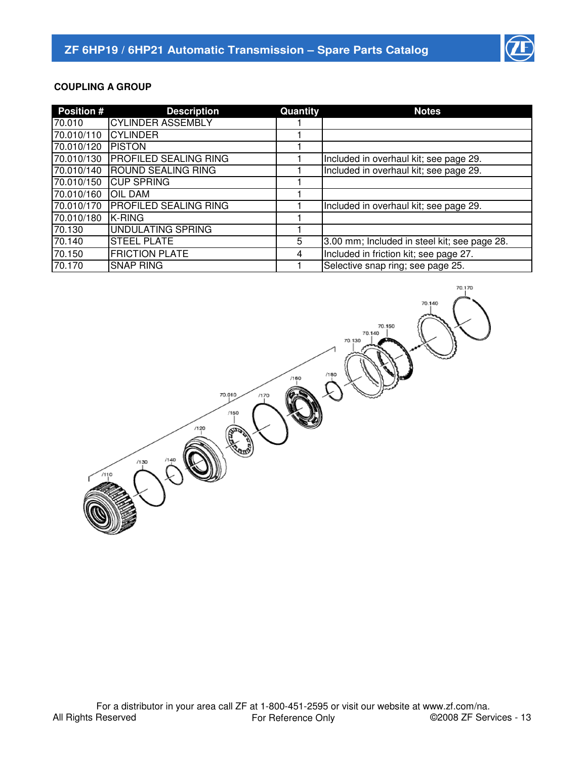

70.170

70.150 70.140

70.130

# **COUPLING A GROUP**

| <b>Position #</b> | <b>Description</b>           | Quantity | <b>Notes</b>                                 |
|-------------------|------------------------------|----------|----------------------------------------------|
| 70.010            | <b>CYLINDER ASSEMBLY</b>     |          |                                              |
| 70.010/110        | <b>CYLINDER</b>              |          |                                              |
| 70.010/120        | <b>PISTON</b>                |          |                                              |
| 70.010/130        | <b>PROFILED SEALING RING</b> |          | Included in overhaul kit; see page 29.       |
| 70.010/140        | <b>ROUND SEALING RING</b>    |          | Included in overhaul kit; see page 29.       |
| 70.010/150        | <b>ICUP SPRING</b>           |          |                                              |
| 70.010/160        | <b>OIL DAM</b>               |          |                                              |
| 70.010/170        | <b>PROFILED SEALING RING</b> |          | Included in overhaul kit; see page 29.       |
| 70.010/180        | <b>IK-RING</b>               |          |                                              |
| 70.130            | UNDULATING SPRING            |          |                                              |
| 70.140            | <b>STEEL PLATE</b>           | 5        | 3.00 mm; Included in steel kit; see page 28. |
| 70.150            | <b>FRICTION PLATE</b>        | 4        | Included in friction kit; see page 27.       |
| 70.170            | <b>SNAP RING</b>             |          | Selective snap ring; see page 25.            |

/160

 $/170$ 

70.010

 $/120$ 

 $/130$ 

 $/150$ 

e<br>Saas

All Rights Reserved For a distributor in your area call ZF at 1-800-451-2595 or visit our website at www.zf.com/na.<br>For Reference Only 62008 ZF Services - 13 For Reference Only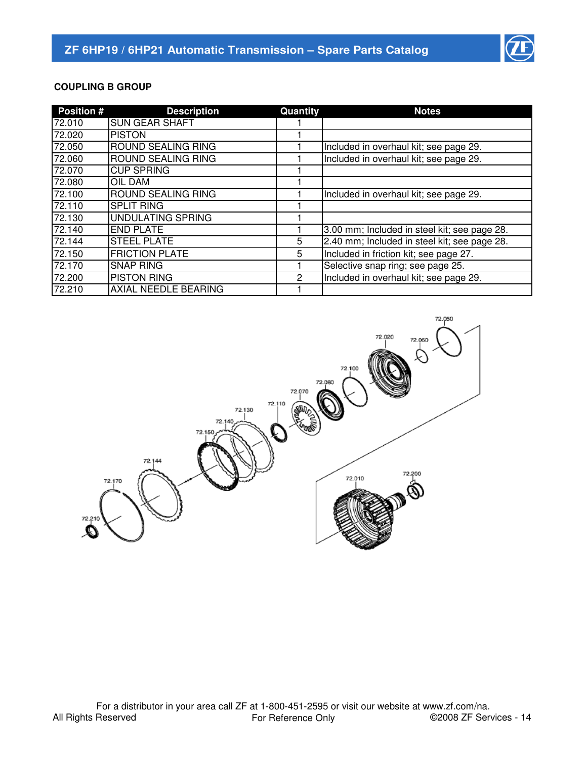

# **COUPLING B GROUP**

| <b>Position #</b> | <b>Description</b>          | Quantity      | <b>Notes</b>                                 |
|-------------------|-----------------------------|---------------|----------------------------------------------|
| 72.010            | <b>SUN GEAR SHAFT</b>       |               |                                              |
| 72.020            | <b>PISTON</b>               |               |                                              |
| 72.050            | <b>ROUND SEALING RING</b>   |               | Included in overhaul kit; see page 29.       |
| 72.060            | <b>ROUND SEALING RING</b>   |               | Included in overhaul kit; see page 29.       |
| 72.070            | <b>CUP SPRING</b>           |               |                                              |
| 72.080            | <b>OIL DAM</b>              |               |                                              |
| 72.100            | <b>ROUND SEALING RING</b>   |               | Included in overhaul kit; see page 29.       |
| 72.110            | <b>SPLIT RING</b>           |               |                                              |
| 72.130            | UNDULATING SPRING           |               |                                              |
| 72.140            | <b>END PLATE</b>            |               | 3.00 mm; Included in steel kit; see page 28. |
| 72.144            | <b>STEEL PLATE</b>          | 5             | 2.40 mm; Included in steel kit; see page 28. |
| 72.150            | <b>FRICTION PLATE</b>       | 5             | Included in friction kit; see page 27.       |
| 72.170            | <b>SNAP RING</b>            |               | Selective snap ring; see page 25.            |
| 72.200            | <b>PISTON RING</b>          | $\mathcal{P}$ | Included in overhaul kit; see page 29.       |
| 72.210            | <b>AXIAL NEEDLE BEARING</b> |               |                                              |

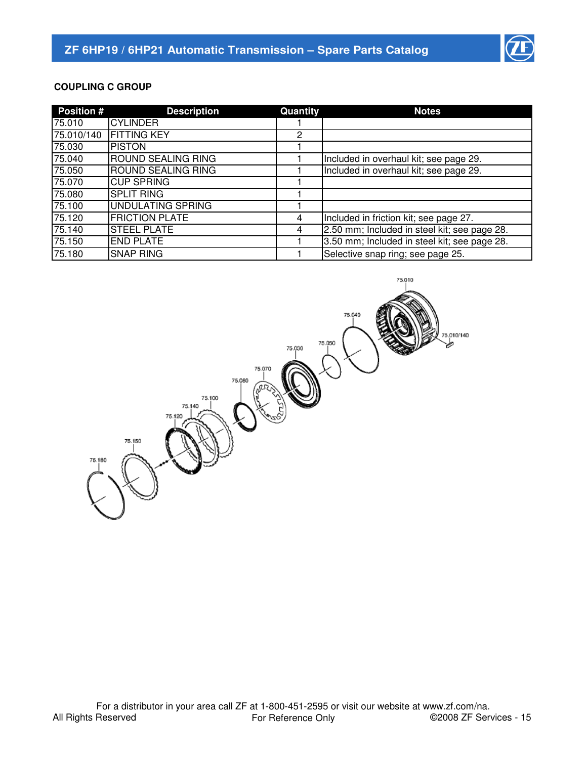

# **COUPLING C GROUP**

| <b>Position #</b> | <b>Description</b>        | Quantity | <b>Notes</b>                                 |
|-------------------|---------------------------|----------|----------------------------------------------|
| 75.010            | <b>CYLINDER</b>           |          |                                              |
| 75.010/140        | <b>FITTING KEY</b>        | 2        |                                              |
| 75.030            | <b>PISTON</b>             |          |                                              |
| 75.040            | <b>ROUND SEALING RING</b> |          | Included in overhaul kit; see page 29.       |
| 75.050            | <b>ROUND SEALING RING</b> |          | Included in overhaul kit; see page 29.       |
| 75.070            | <b>CUP SPRING</b>         |          |                                              |
| 75.080            | <b>SPLIT RING</b>         |          |                                              |
| 75.100            | UNDULATING SPRING         |          |                                              |
| 75.120            | <b>FRICTION PLATE</b>     | 4        | Included in friction kit; see page 27.       |
| 75.140            | <b>STEEL PLATE</b>        | 4        | 2.50 mm; Included in steel kit; see page 28. |
| 75.150            | <b>END PLATE</b>          |          | 3.50 mm; Included in steel kit; see page 28. |
| 75.180            | <b>SNAP RING</b>          |          | Selective snap ring; see page 25.            |

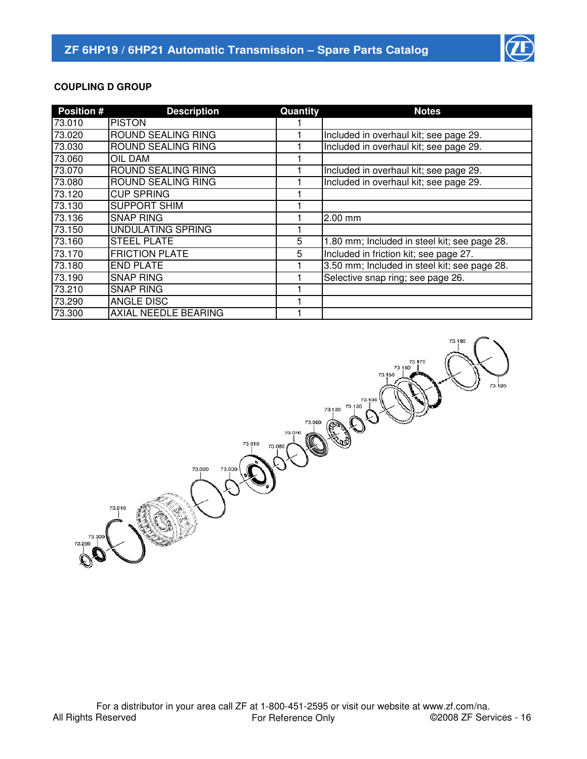

# **COUPLING D GROUP**

| <b>Position #</b> | <b>Description</b>          | Quantity | <b>Notes</b>                                 |
|-------------------|-----------------------------|----------|----------------------------------------------|
| 73.010            | <b>PISTON</b>               |          |                                              |
| 73.020            | <b>ROUND SEALING RING</b>   |          | Included in overhaul kit; see page 29.       |
| 73.030            | <b>ROUND SEALING RING</b>   |          | Included in overhaul kit; see page 29.       |
| 73.060            | <b>OIL DAM</b>              |          |                                              |
| 73.070            | <b>ROUND SEALING RING</b>   |          | Included in overhaul kit; see page 29.       |
| 73.080            | <b>ROUND SEALING RING</b>   |          | Included in overhaul kit; see page 29.       |
| 73.120            | <b>CUP SPRING</b>           |          |                                              |
| 73.130            | <b>SUPPORT SHIM</b>         |          |                                              |
| 73.136            | <b>SNAP RING</b>            |          | 2.00 mm                                      |
| 73.150            | <b>UNDULATING SPRING</b>    |          |                                              |
| 73.160            | <b>STEEL PLATE</b>          | 5        | 1.80 mm; Included in steel kit; see page 28. |
| 73.170            | <b>FRICTION PLATE</b>       | 5        | Included in friction kit; see page 27.       |
| 73.180            | <b>END PLATE</b>            |          | 3.50 mm; Included in steel kit; see page 28. |
| 73.190            | <b>SNAP RING</b>            |          | Selective snap ring; see page 26.            |
| 73.210            | <b>SNAP RING</b>            |          |                                              |
| 73.290            | <b>ANGLE DISC</b>           |          |                                              |
| 73.300            | <b>AXIAL NEEDLE BEARING</b> |          |                                              |

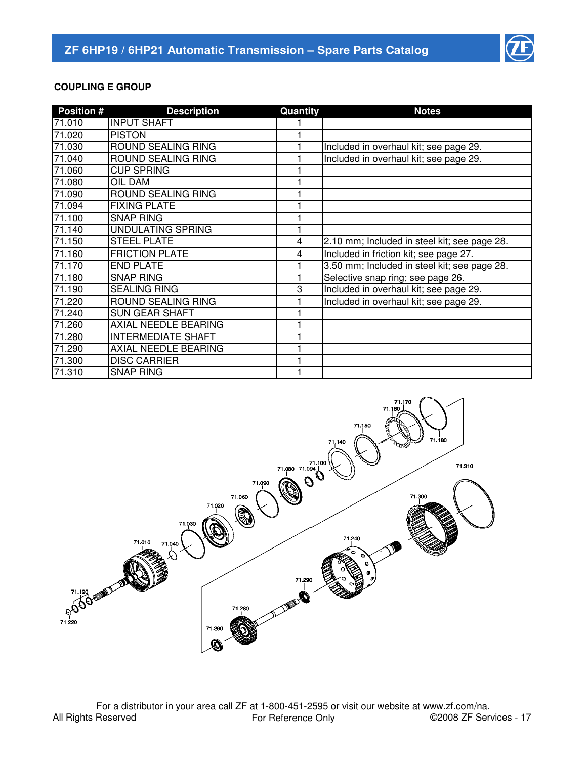

# **COUPLING E GROUP**

| <b>Position #</b> | <b>Description</b>          | Quantity | <b>Notes</b>                                 |
|-------------------|-----------------------------|----------|----------------------------------------------|
| 71.010            | <b>INPUT SHAFT</b>          |          |                                              |
| 71.020            | <b>PISTON</b>               |          |                                              |
| 71.030            | ROUND SEALING RING          |          | Included in overhaul kit; see page 29.       |
| 71.040            | ROUND SEALING RING          |          | Included in overhaul kit; see page 29.       |
| 71.060            | <b>CUP SPRING</b>           |          |                                              |
| 71.080            | OIL DAM                     |          |                                              |
| 71.090            | ROUND SEALING RING          |          |                                              |
| 71.094            | <b>FIXING PLATE</b>         |          |                                              |
| 71.100            | <b>SNAP RING</b>            |          |                                              |
| 71.140            | <b>UNDULATING SPRING</b>    |          |                                              |
| 71.150            | <b>STEEL PLATE</b>          | 4        | 2.10 mm; Included in steel kit; see page 28. |
| 71.160            | <b>FRICTION PLATE</b>       | 4        | Included in friction kit; see page 27.       |
| 71.170            | <b>END PLATE</b>            |          | 3.50 mm; Included in steel kit; see page 28. |
| 71.180            | <b>SNAP RING</b>            |          | Selective snap ring; see page 26.            |
| 71.190            | <b>SEALING RING</b>         | 3        | Included in overhaul kit; see page 29.       |
| 71.220            | <b>ROUND SEALING RING</b>   |          | Included in overhaul kit; see page 29.       |
| 71.240            | <b>SUN GEAR SHAFT</b>       |          |                                              |
| 71.260            | <b>AXIAL NEEDLE BEARING</b> |          |                                              |
| 71.280            | <b>INTERMEDIATE SHAFT</b>   |          |                                              |
| 71.290            | <b>AXIAL NEEDLE BEARING</b> |          |                                              |
| 71.300            | <b>DISC CARRIER</b>         |          |                                              |
| 71.310            | <b>SNAP RING</b>            |          |                                              |

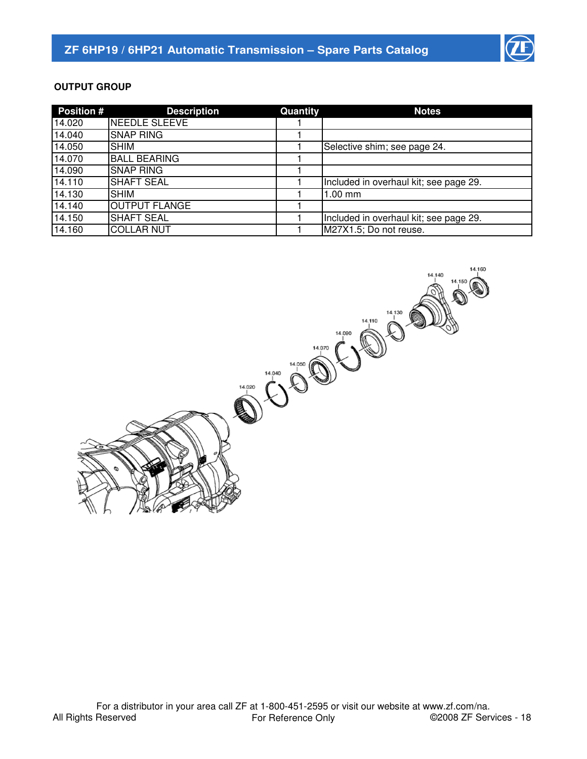

# **OUTPUT GROUP**

| <b>Position #</b> | <b>Description</b>   | Quantity | <b>Notes</b>                           |
|-------------------|----------------------|----------|----------------------------------------|
| 14.020            | NEEDLE SLEEVE        |          |                                        |
| 14.040            | <b>SNAP RING</b>     |          |                                        |
| 14.050            | <b>SHIM</b>          |          | Selective shim; see page 24.           |
| 14.070            | <b>BALL BEARING</b>  |          |                                        |
| 14.090            | <b>SNAP RING</b>     |          |                                        |
| 14.110            | <b>SHAFT SEAL</b>    |          | Included in overhaul kit; see page 29. |
| 14.130            | <b>SHIM</b>          |          | $1.00$ mm                              |
| 14.140            | <b>OUTPUT FLANGE</b> |          |                                        |
| 14.150            | <b>SHAFT SEAL</b>    |          | Included in overhaul kit; see page 29. |
| 14.160            | <b>COLLAR NUT</b>    |          | M27X1.5; Do not reuse.                 |

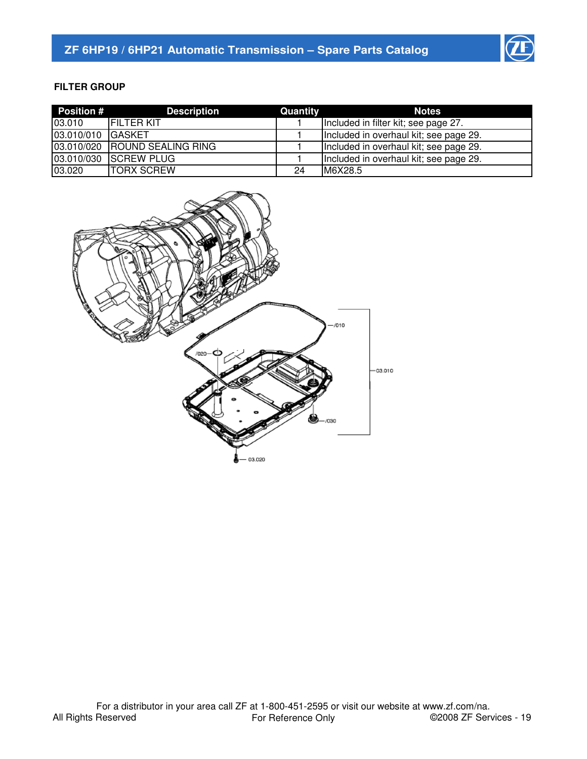

# **FILTER GROUP**

| <b>Position #</b> | <b>Description</b>            | Quantity | <b>Notes</b>                           |
|-------------------|-------------------------------|----------|----------------------------------------|
| 03.010            | <b>IFILTER KIT</b>            |          | Included in filter kit; see page 27.   |
| 03.010/010        | <b>IGASKET</b>                |          | Included in overhaul kit; see page 29. |
|                   | 03.010/020 ROUND SEALING RING |          | Included in overhaul kit; see page 29. |
|                   | 03.010/030 SCREW PLUG         |          | Included in overhaul kit; see page 29. |
| 03.020            | <b>TORX SCREW</b>             | 24       | M6X28.5                                |

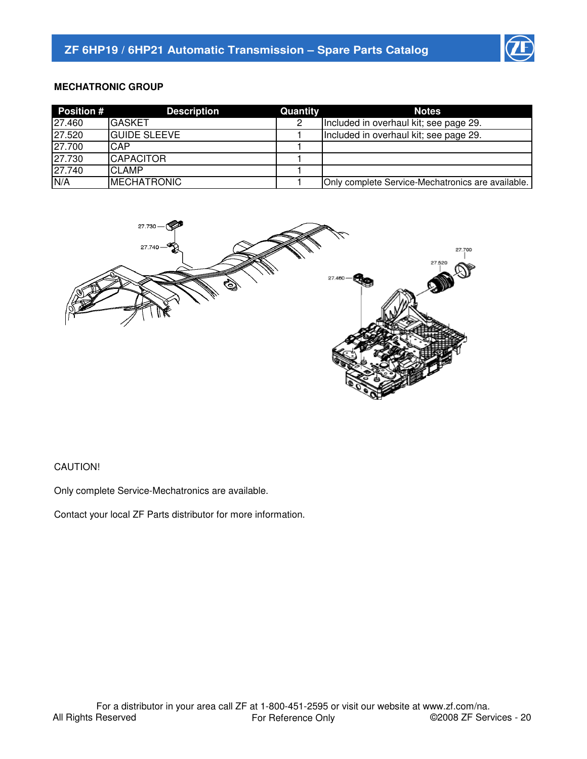

## **MECHATRONIC GROUP**

| <b>Position #</b> | <b>Description</b>   | Quantity | <b>Notes</b>                                      |
|-------------------|----------------------|----------|---------------------------------------------------|
| 27.460            | <b>GASKET</b>        | 2        | Included in overhaul kit; see page 29.            |
| 27.520            | <b>IGUIDE SLEEVE</b> |          | Included in overhaul kit; see page 29.            |
| 27.700            | CAP                  |          |                                                   |
| 27.730            | <b>CAPACITOR</b>     |          |                                                   |
| 27.740            | <b>CLAMP</b>         |          |                                                   |
| N/A               | <b>IMECHATRONIC</b>  |          | Only complete Service-Mechatronics are available. |



#### CAUTION!

Only complete Service-Mechatronics are available.

Contact your local ZF Parts distributor for more information.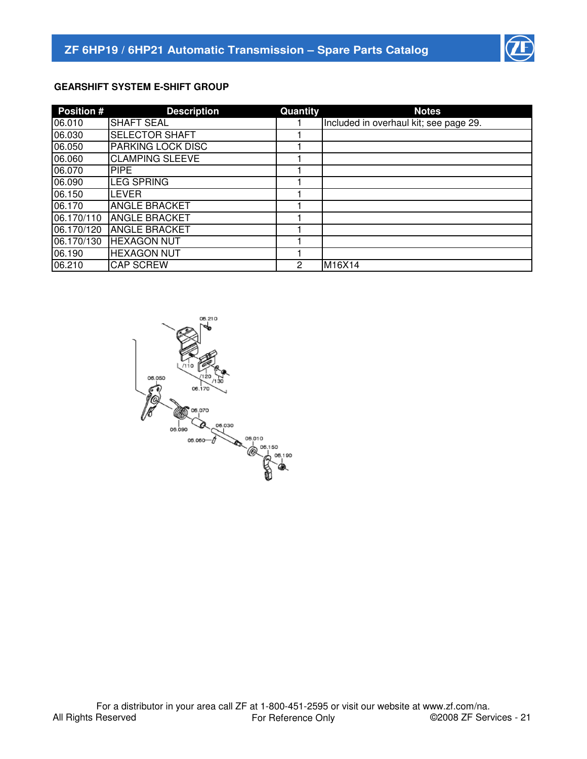

# **GEARSHIFT SYSTEM E-SHIFT GROUP**

| <b>Position #</b> | <b>Description</b>       | Quantity | <b>Notes</b>                           |
|-------------------|--------------------------|----------|----------------------------------------|
| 06.010            | <b>SHAFT SEAL</b>        |          | Included in overhaul kit; see page 29. |
| 06.030            | <b>SELECTOR SHAFT</b>    |          |                                        |
| 06.050            | <b>PARKING LOCK DISC</b> |          |                                        |
| 06.060            | <b>CLAMPING SLEEVE</b>   |          |                                        |
| 06.070            | <b>PIPE</b>              |          |                                        |
| 06.090            | <b>LEG SPRING</b>        |          |                                        |
| 06.150            | ILEVER                   |          |                                        |
| 06.170            | <b>ANGLE BRACKET</b>     |          |                                        |
| 06.170/110        | <b>ANGLE BRACKET</b>     |          |                                        |
| 06.170/120        | <b>ANGLE BRACKET</b>     |          |                                        |
| 06.170/130        | <b>HEXAGON NUT</b>       |          |                                        |
| 06.190            | <b>HEXAGON NUT</b>       |          |                                        |
| 06.210            | <b>CAP SCREW</b>         | 2        | M16X14                                 |

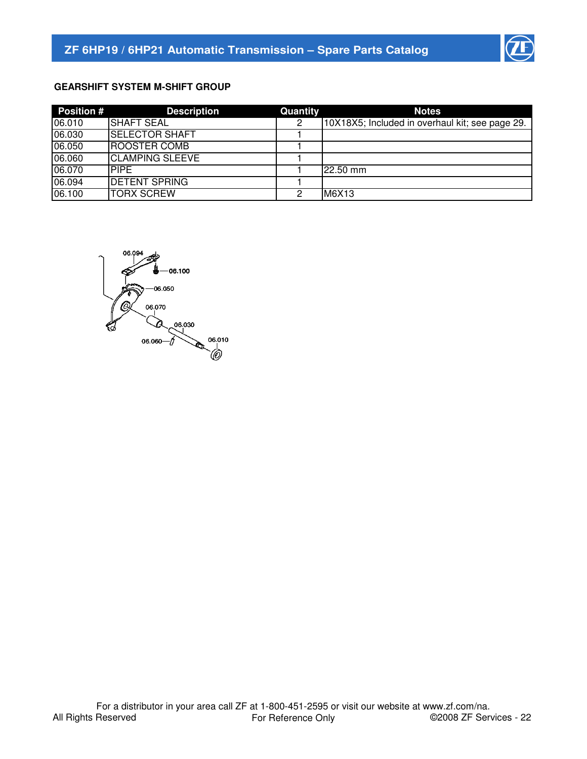

# **GEARSHIFT SYSTEM M-SHIFT GROUP**

| <b>Position #</b> | <b>Description</b>     | Quantity | <b>Notes</b>                                    |
|-------------------|------------------------|----------|-------------------------------------------------|
| 06.010            | <b>ISHAFT SEAL</b>     | 2        | 10X18X5; Included in overhaul kit; see page 29. |
| 06.030            | <b>SELECTOR SHAFT</b>  |          |                                                 |
| 06.050            | <b>ROOSTER COMB</b>    |          |                                                 |
| 06.060            | <b>CLAMPING SLEEVE</b> |          |                                                 |
| 06.070            | <b>PIPE</b>            |          | 22.50 mm                                        |
| 06.094            | <b>DETENT SPRING</b>   |          |                                                 |
| 06.100            | <b>TORX SCREW</b>      | 2        | M6X13                                           |

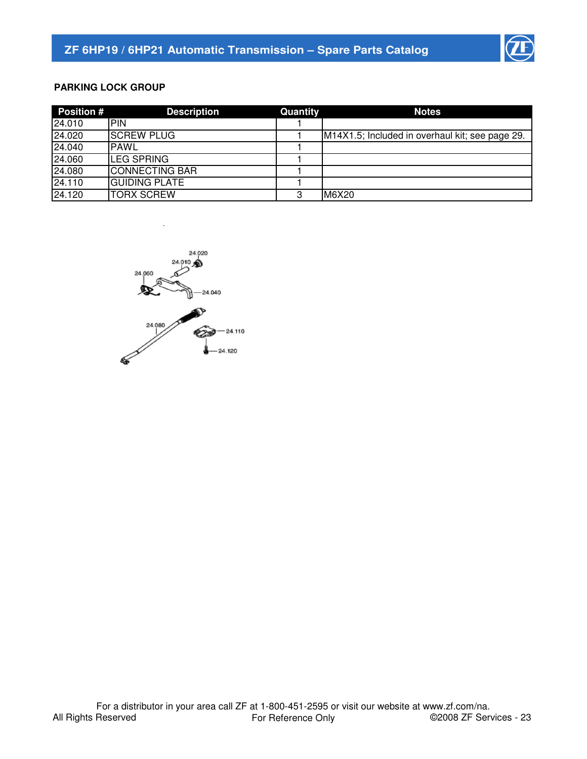

# **PARKING LOCK GROUP**

| <b>Position #</b> | <b>Description</b>    | Quantity | <b>Notes</b>                                    |
|-------------------|-----------------------|----------|-------------------------------------------------|
| 24.010            | IPIN                  |          |                                                 |
| 24.020            | <b>SCREW PLUG</b>     |          | M14X1.5; Included in overhaul kit; see page 29. |
| 24.040            | <b>PAWL</b>           |          |                                                 |
| 24.060            | <b>ILEG SPRING</b>    |          |                                                 |
| 24.080            | <b>CONNECTING BAR</b> |          |                                                 |
| 24.110            | <b>GUIDING PLATE</b>  |          |                                                 |
| 24.120            | <b>TORX SCREW</b>     | 3        | M6X20                                           |

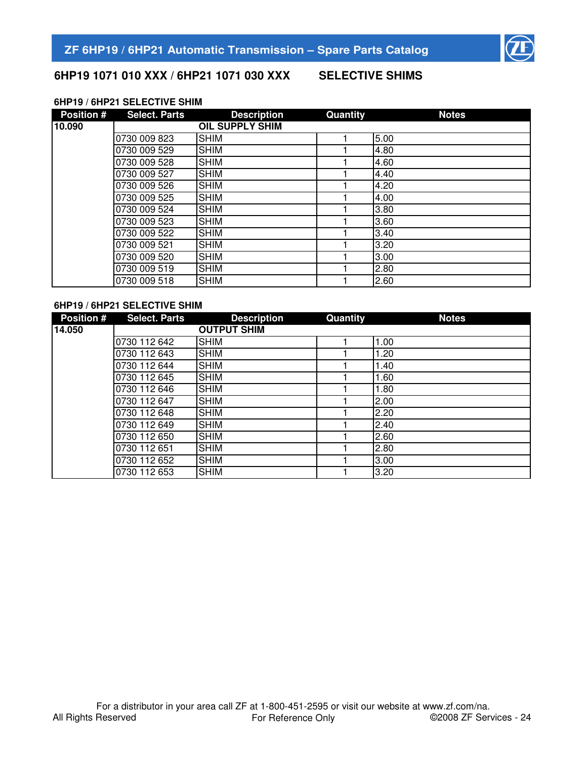

# **6HP19 1071 010 XXX / 6HP21 1071 030 XXX SELECTIVE SHIMS**

# **6HP19 / 6HP21 SELECTIVE SHIM**

| <b>Position #</b> | <b>Select. Parts</b> | <b>Description</b>     | Quantity | <b>Notes</b> |
|-------------------|----------------------|------------------------|----------|--------------|
| 10.090            |                      | <b>OIL SUPPLY SHIM</b> |          |              |
|                   | 0730 009 823         | <b>SHIM</b>            |          | 5.00         |
|                   | 0730 009 529         | <b>SHIM</b>            |          | 4.80         |
|                   | 0730 009 528         | <b>SHIM</b>            |          | 4.60         |
|                   | 0730 009 527         | <b>SHIM</b>            |          | 4.40         |
|                   | 0730 009 526         | <b>SHIM</b>            |          | 4.20         |
|                   | 0730 009 525         | <b>SHIM</b>            |          | 4.00         |
|                   | 0730 009 524         | <b>SHIM</b>            |          | 3.80         |
|                   | 0730 009 523         | <b>SHIM</b>            |          | 3.60         |
|                   | 0730 009 522         | <b>SHIM</b>            |          | 3.40         |
|                   | 0730 009 521         | <b>SHIM</b>            |          | 3.20         |
|                   | 0730 009 520         | <b>SHIM</b>            |          | 3.00         |
|                   | 0730 009 519         | <b>SHIM</b>            |          | 2.80         |
|                   | 0730 009 518         | <b>SHIM</b>            |          | 2.60         |

#### **6HP19 / 6HP21 SELECTIVE SHIM**

| <b>Position #</b> | <b>Select. Parts</b> | <b>Description</b> | Quantity | <b>Notes</b> |
|-------------------|----------------------|--------------------|----------|--------------|
| 14.050            |                      | <b>OUTPUT SHIM</b> |          |              |
|                   | 0730 112 642         | <b>SHIM</b>        |          | 1.00         |
|                   | 0730 112 643         | <b>SHIM</b>        |          | 1.20         |
|                   | 0730 112 644         | <b>SHIM</b>        |          | 1.40         |
|                   | 0730 112 645         | <b>SHIM</b>        |          | 1.60         |
|                   | 0730 112 646         | <b>SHIM</b>        |          | 1.80         |
|                   | 0730 112 647         | <b>SHIM</b>        |          | 2.00         |
|                   | 0730 112 648         | <b>SHIM</b>        |          | 2.20         |
|                   | 0730 112 649         | <b>SHIM</b>        |          | 2.40         |
|                   | 0730 112 650         | <b>SHIM</b>        |          | 2.60         |
|                   | 0730 112 651         | <b>SHIM</b>        |          | 2.80         |
|                   | 0730 112 652         | <b>SHIM</b>        |          | 3.00         |
|                   | 0730 112 653         | <b>SHIM</b>        |          | 3.20         |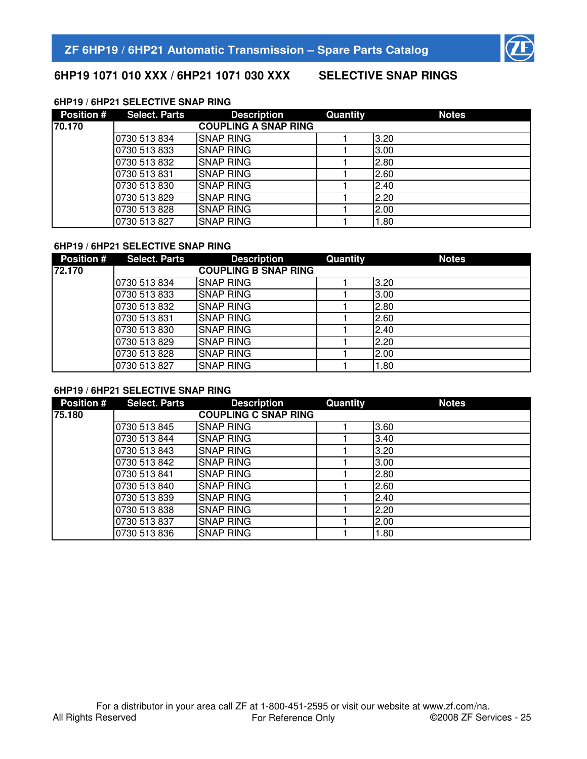

# **6HP19 1071 010 XXX / 6HP21 1071 030 XXX SELECTIVE SNAP RINGS**

## **6HP19 / 6HP21 SELECTIVE SNAP RING**

| <b>Position #</b> | <b>Select. Parts</b> | <b>Description</b>          | Quantity | <b>Notes</b> |
|-------------------|----------------------|-----------------------------|----------|--------------|
| 70.170            |                      | <b>COUPLING A SNAP RING</b> |          |              |
|                   | 0730 513 834         | <b>SNAP RING</b>            |          | 3.20         |
|                   | 0730 513 833         | <b>SNAP RING</b>            |          | 3.00         |
|                   | 0730 513 832         | <b>SNAP RING</b>            |          | 2.80         |
|                   | 0730 513 831         | <b>SNAP RING</b>            |          | 2.60         |
|                   | 0730 513 830         | <b>SNAP RING</b>            |          | 2.40         |
|                   | 0730 513 829         | <b>SNAP RING</b>            |          | 2.20         |
|                   | 0730 513 828         | <b>SNAP RING</b>            |          | 2.00         |
|                   | 0730 513 827         | <b>SNAP RING</b>            |          | 1.80         |

#### **6HP19 / 6HP21 SELECTIVE SNAP RING**

| <b>Position #</b> | <b>Select. Parts</b> | <b>Description</b>          | Quantity | <b>Notes</b> |
|-------------------|----------------------|-----------------------------|----------|--------------|
| 72.170            |                      | <b>COUPLING B SNAP RING</b> |          |              |
|                   | 0730 513 834         | <b>SNAP RING</b>            |          | 3.20         |
|                   | 0730 513 833         | <b>SNAP RING</b>            |          | 3.00         |
|                   | 0730 513 832         | <b>SNAP RING</b>            |          | 2.80         |
|                   | 0730 513 831         | <b>SNAP RING</b>            |          | 2.60         |
|                   | 0730 513 830         | <b>SNAP RING</b>            |          | 2.40         |
|                   | 0730 513 829         | <b>SNAP RING</b>            |          | 2.20         |
|                   | 0730 513 828         | <b>SNAP RING</b>            |          | 2.00         |
|                   | 0730 513 827         | <b>SNAP RING</b>            |          | 1.80         |

# **6HP19 / 6HP21 SELECTIVE SNAP RING**

| <b>Position #</b> | <b>Select. Parts</b> | <b>Description</b>          | Quantity | <b>Notes</b> |
|-------------------|----------------------|-----------------------------|----------|--------------|
| 75.180            |                      | <b>COUPLING C SNAP RING</b> |          |              |
|                   | 0730 513 845         | <b>SNAP RING</b>            |          | 3.60         |
|                   | 0730 513 844         | <b>SNAP RING</b>            |          | 3.40         |
|                   | 0730 513 843         | <b>SNAP RING</b>            |          | 3.20         |
|                   | 0730 513 842         | <b>SNAP RING</b>            |          | 3.00         |
|                   | 0730 513 841         | <b>SNAP RING</b>            |          | 2.80         |
|                   | 0730 513 840         | <b>SNAP RING</b>            |          | 2.60         |
|                   | 0730 513 839         | <b>SNAP RING</b>            |          | 2.40         |
|                   | 0730 513 838         | <b>SNAP RING</b>            |          | 2.20         |
|                   | 0730 513 837         | <b>SNAP RING</b>            |          | 2.00         |
|                   | 0730 513 836         | <b>SNAP RING</b>            |          | 1.80         |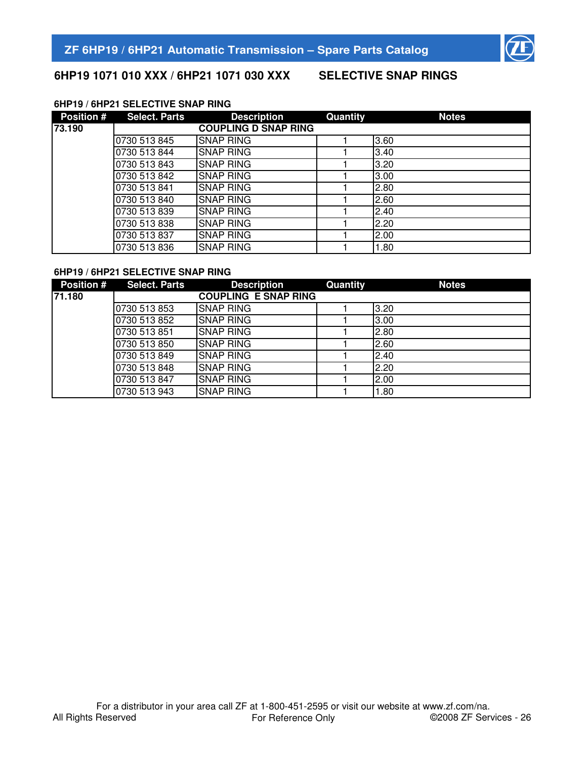

# **6HP19 1071 010 XXX / 6HP21 1071 030 XXX SELECTIVE SNAP RINGS**

#### **6HP19 / 6HP21 SELECTIVE SNAP RING**

| <b>Position #</b> | <b>Select. Parts</b> | <b>Description</b>          | Quantity | <b>Notes</b> |
|-------------------|----------------------|-----------------------------|----------|--------------|
| 73.190            |                      | <b>COUPLING D SNAP RING</b> |          |              |
|                   | 0730 513 845         | <b>SNAP RING</b>            |          | 3.60         |
|                   | 0730 513 844         | <b>SNAP RING</b>            |          | 3.40         |
|                   | 0730 513 843         | <b>SNAP RING</b>            |          | 3.20         |
|                   | 0730 513 842         | <b>SNAP RING</b>            |          | 3.00         |
|                   | 0730 513 841         | <b>SNAP RING</b>            |          | 2.80         |
|                   | 0730 513 840         | <b>SNAP RING</b>            |          | 2.60         |
|                   | 0730 513 839         | <b>SNAP RING</b>            |          | 2.40         |
|                   | 0730 513 838         | <b>SNAP RING</b>            |          | 2.20         |
|                   | 0730 513 837         | <b>SNAP RING</b>            |          | 2.00         |
|                   | 0730 513 836         | <b>SNAP RING</b>            |          | 1.80         |

#### **6HP19 / 6HP21 SELECTIVE SNAP RING**

| <b>Position #</b> | <b>Select. Parts</b> | <b>Description</b>          | Quantity | <b>Notes</b> |
|-------------------|----------------------|-----------------------------|----------|--------------|
| 71.180            |                      | <b>COUPLING E SNAP RING</b> |          |              |
|                   | 0730 513 853         | <b>SNAP RING</b>            |          | 3.20         |
|                   | 0730 513 852         | <b>SNAP RING</b>            |          | 3.00         |
|                   | 0730 513 851         | <b>SNAP RING</b>            |          | 2.80         |
|                   | 0730 513 850         | <b>SNAP RING</b>            |          | 2.60         |
|                   | 0730 513 849         | <b>SNAP RING</b>            |          | 2.40         |
|                   | 0730 513 848         | <b>SNAP RING</b>            |          | 2.20         |
|                   | 0730 513 847         | <b>SNAP RING</b>            |          | 2.00         |
|                   | 0730 513 943         | <b>SNAP RING</b>            |          | 1.80         |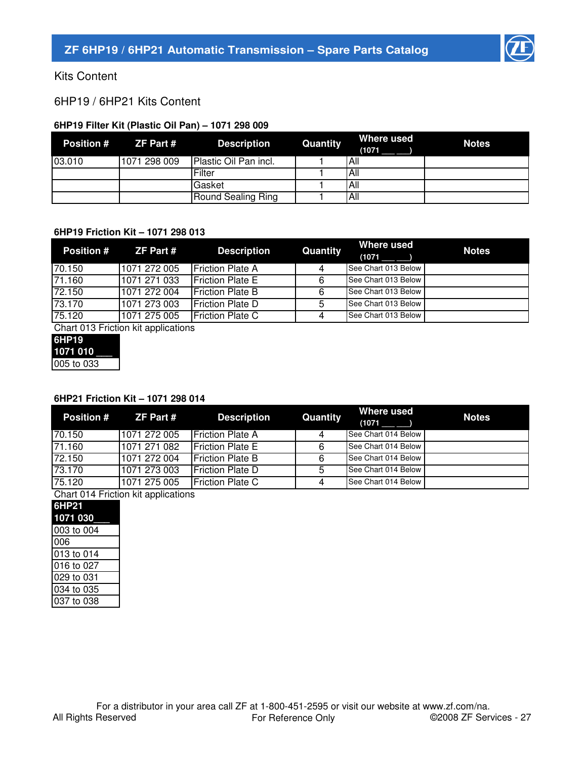

Kits Content

6HP19 / 6HP21 Kits Content

# **6HP19 Filter Kit (Plastic Oil Pan) – 1071 298 009**

| <b>Position #</b> | ZF Part #    | Description           | Quantity | Where used<br>(1071 | <b>Notes</b> |
|-------------------|--------------|-----------------------|----------|---------------------|--------------|
| 03.010            | 1071 298 009 | Plastic Oil Pan incl. |          | All                 |              |
|                   |              | Filter                |          | All                 |              |
|                   |              | <b>Gasket</b>         |          | All                 |              |
|                   |              | Round Sealing Ring    |          | All                 |              |

#### **6HP19 Friction Kit – 1071 298 013**

| <b>Position #</b> | ZF Part #    | <b>Description</b>       | Quantity | Where used<br>(1071) | <b>Notes</b> |
|-------------------|--------------|--------------------------|----------|----------------------|--------------|
| 70.150            | 1071 272 005 | <b>IFriction Plate A</b> | 4        | See Chart 013 Below  |              |
| 71.160            | 1071 271 033 | <b>IFriction Plate E</b> | 6        | See Chart 013 Below  |              |
| 72.150            | 1071 272 004 | <b>Friction Plate B</b>  | 6        | See Chart 013 Below  |              |
| 73.170            | 1071 273 003 | <b>IFriction Plate D</b> | 5        | See Chart 013 Below  |              |
| 75.120            | 1071 275 005 | <b>Friction Plate C</b>  |          | See Chart 013 Below  |              |

Chart 013 Friction kit applications

| 6HP19      |  |
|------------|--|
| 1071 010   |  |
| 005 to 033 |  |

# **6HP21 Friction Kit – 1071 298 014**

| <b>Position #</b><br><b>ZF Part #</b> | <b>Description</b>       | Quantity | Where used<br>(1071) | <b>Notes</b>                                                                                                    |
|---------------------------------------|--------------------------|----------|----------------------|-----------------------------------------------------------------------------------------------------------------|
| 1071 272 005                          | <b>IFriction Plate A</b> | 4        |                      |                                                                                                                 |
| 1071 271 082                          | <b>IFriction Plate E</b> | 6        |                      |                                                                                                                 |
| 1071 272 004                          | <b>IFriction Plate B</b> | 6        |                      |                                                                                                                 |
| 1071 273 003                          | <b>IFriction Plate D</b> | 5        |                      |                                                                                                                 |
| 1071 275 005                          | <b>Friction Plate C</b>  | 4        |                      |                                                                                                                 |
|                                       |                          |          |                      | See Chart 014 Below<br>See Chart 014 Below<br>See Chart 014 Below<br>See Chart 014 Below<br>See Chart 014 Below |

Chart 014 Friction kit applications

| 6HP21      |  |
|------------|--|
| 1071 030   |  |
| 003 to 004 |  |
| 006        |  |
| 013 to 014 |  |
| 016 to 027 |  |
| 029 to 031 |  |
| 034 to 035 |  |
| 037 to 038 |  |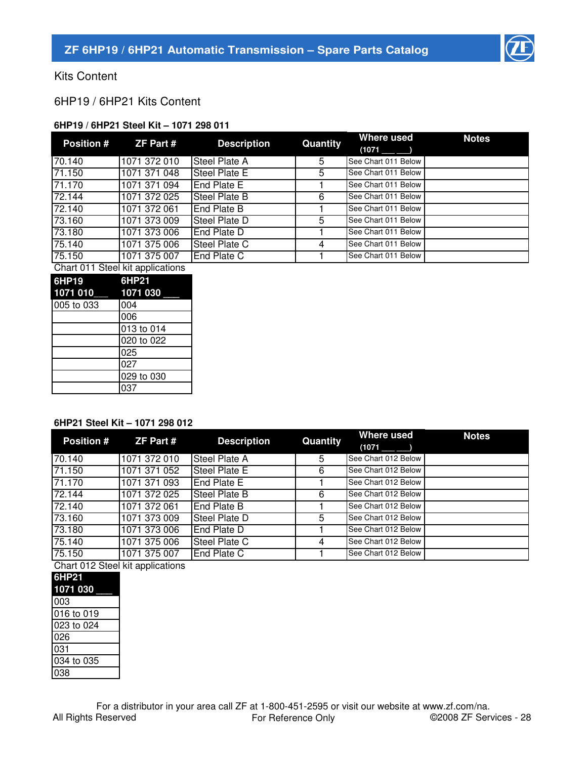

Kits Content

6HP19 / 6HP21 Kits Content

# **6HP19 / 6HP21 Steel Kit – 1071 298 011**

| <b>Position #</b> | ZF Part #                        | <b>Description</b>   | Quantity | Where used          | <b>Notes</b> |
|-------------------|----------------------------------|----------------------|----------|---------------------|--------------|
| 70.140            | 1071 372 010                     | <b>Steel Plate A</b> | 5        | See Chart 011 Below |              |
| 71.150            | 1071 371 048                     | <b>Steel Plate E</b> | 5        | See Chart 011 Below |              |
| 71.170            | 1071 371 094                     | End Plate E          |          | See Chart 011 Below |              |
| 72.144            | 1071 372 025                     | <b>Steel Plate B</b> | 6        | See Chart 011 Below |              |
| 72.140            | 1071 372 061                     | <b>End Plate B</b>   |          | See Chart 011 Below |              |
| 73.160            | 1071 373 009                     | <b>Steel Plate D</b> | 5        | See Chart 011 Below |              |
| 73.180            | 1071 373 006                     | End Plate D          |          | See Chart 011 Below |              |
| 75.140            | 1071 375 006                     | <b>Steel Plate C</b> | 4        | See Chart 011 Below |              |
| 75.150            | 1071 375 007                     | <b>End Plate C</b>   |          | See Chart 011 Below |              |
|                   | Chart 011 Stool kit applications |                      |          |                     |              |

| Cridit UTT Steel NIL applications |            |  |  |  |  |
|-----------------------------------|------------|--|--|--|--|
| 6HP19                             | 6HP21      |  |  |  |  |
| 1071 010                          | 1071 030   |  |  |  |  |
| 005 to 033                        | 004        |  |  |  |  |
|                                   | 006        |  |  |  |  |
|                                   | 013 to 014 |  |  |  |  |
|                                   | 020 to 022 |  |  |  |  |
|                                   | 025        |  |  |  |  |
|                                   | 027        |  |  |  |  |
|                                   | 029 to 030 |  |  |  |  |
|                                   | 037        |  |  |  |  |

#### **6HP21 Steel Kit – 1071 298 012**

| <b>Position #</b> | ZF Part #    | <b>Description</b>   | Quantity | Where used<br>(1071)<br>$\overline{\phantom{a}}$ | <b>Notes</b> |
|-------------------|--------------|----------------------|----------|--------------------------------------------------|--------------|
| 70.140            | 1071 372 010 | <b>Steel Plate A</b> | 5        | See Chart 012 Below                              |              |
| 71.150            | 1071 371 052 | <b>Steel Plate E</b> | 6        | See Chart 012 Below                              |              |
| 71.170            | 1071 371 093 | End Plate E          |          | See Chart 012 Below                              |              |
| 72.144            | 1071 372 025 | Steel Plate B        | 6        | See Chart 012 Below                              |              |
| 72.140            | 1071 372 061 | End Plate B          |          | See Chart 012 Below                              |              |
| 73.160            | 1071 373 009 | <b>Steel Plate D</b> | 5        | See Chart 012 Below                              |              |
| 73.180            | 1071 373 006 | End Plate D          |          | See Chart 012 Below                              |              |
| 75.140            | 1071 375 006 | Steel Plate C        | 4        | See Chart 012 Below                              |              |
| 75.150            | 1071 375 007 | End Plate C          |          | See Chart 012 Below                              |              |

Chart 012 Steel kit applications

| <b>UIRILUTE</b> UITE |
|----------------------|
| 6HP21                |
| 1071 030             |
| 003                  |
| 016 to 019           |
| 023 to 024           |
| 026                  |
| 031                  |
| 034 to 035           |
| 038                  |